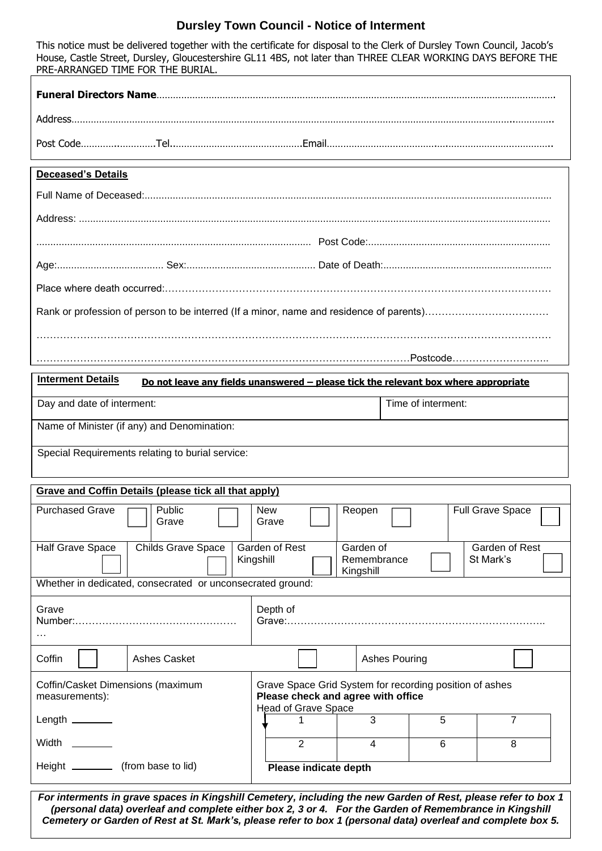## **Dursley Town Council - Notice of Interment**

This notice must be delivered together with the certificate for disposal to the Clerk of Dursley Town Council, Jacob's House, Castle Street, Dursley, Gloucestershire GL11 4BS, not later than THREE CLEAR WORKING DAYS BEFORE THE PRE-ARRANGED TIME FOR THE BURIAL.

| Address |  |  |  |  |
|---------|--|--|--|--|
|         |  |  |  |  |

## **Deceased's Details**

| <b>Interment Details</b>                         | Do not leave any fields unanswered - please tick the relevant box where appropriate |  |  |  |  |
|--------------------------------------------------|-------------------------------------------------------------------------------------|--|--|--|--|
| Day and date of interment:                       | Time of interment:                                                                  |  |  |  |  |
| Name of Minister (if any) and Denomination:      |                                                                                     |  |  |  |  |
| Special Requirements relating to burial service: |                                                                                     |  |  |  |  |

## **Grave and Coffin Details (please tick all that apply)**

| Public<br><b>Purchased Grave</b><br>Grave                  | <b>New</b><br>Grave                                                                                                         | Reopen                                | <b>Full Grave Space</b>     |  |
|------------------------------------------------------------|-----------------------------------------------------------------------------------------------------------------------------|---------------------------------------|-----------------------------|--|
| <b>Childs Grave Space</b><br>Half Grave Space              | Garden of Rest<br>Kingshill                                                                                                 | Garden of<br>Remembrance<br>Kingshill | Garden of Rest<br>St Mark's |  |
| Whether in dedicated, consecrated or unconsecrated ground: |                                                                                                                             |                                       |                             |  |
| Grave<br>.                                                 | Depth of                                                                                                                    |                                       |                             |  |
| Coffin<br>Ashes Casket                                     |                                                                                                                             | Ashes Pouring                         |                             |  |
| Coffin/Casket Dimensions (maximum<br>measurements):        | Grave Space Grid System for recording position of ashes<br>Please check and agree with office<br><b>Head of Grave Space</b> |                                       |                             |  |
| Length $\_\_\_\_\_\_\_\_\_\$                               |                                                                                                                             | 3<br>5                                |                             |  |
| <b>Width</b>                                               | 2                                                                                                                           | 6<br>4                                | 8                           |  |
| Height _______________ (from base to lid)                  | Please indicate depth                                                                                                       |                                       |                             |  |

*For interments in grave spaces in Kingshill Cemetery, including the new Garden of Rest, please refer to box 1 (personal data) overleaf and complete either box 2, 3 or 4. For the Garden of Remembrance in Kingshill Cemetery or Garden of Rest at St. Mark's, please refer to box 1 (personal data) overleaf and complete box 5.*